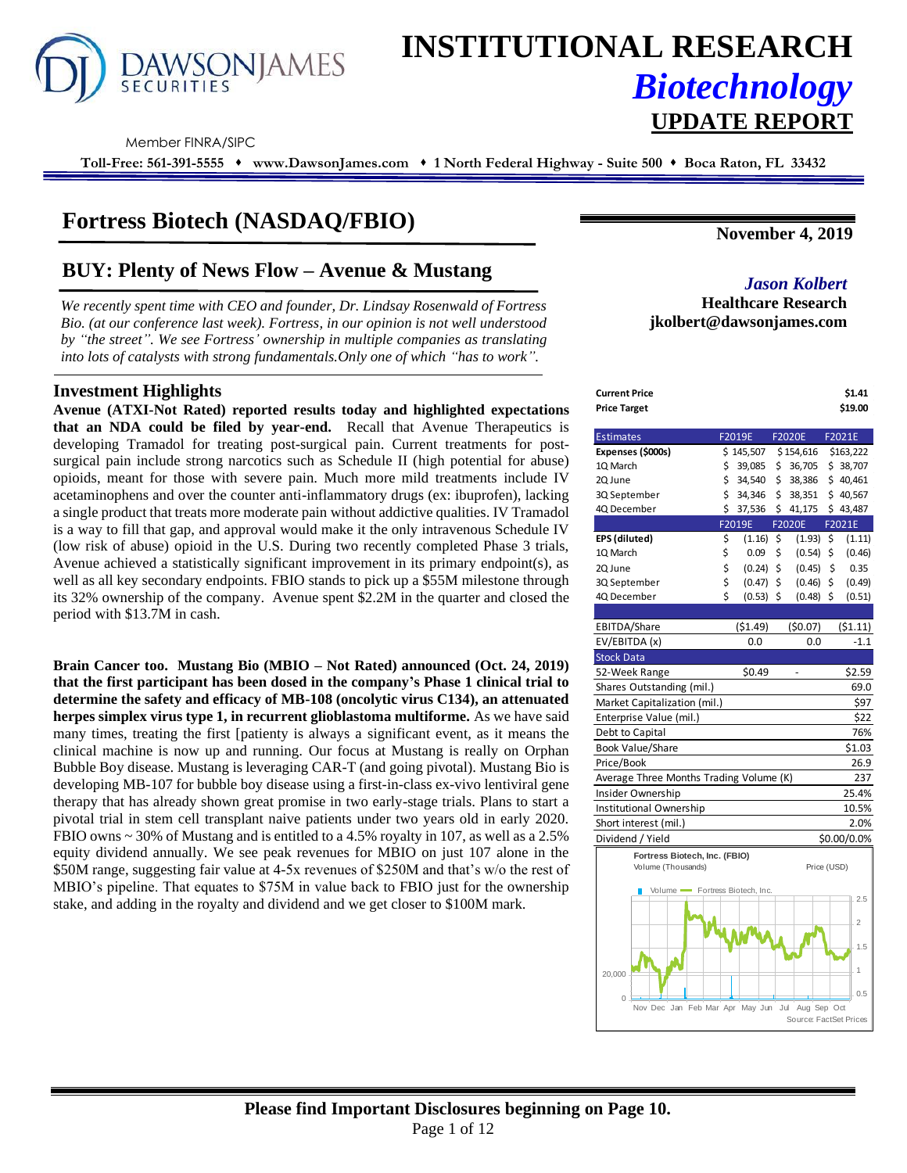

# **INSTITUTIONAL RESEARCH** *Biotechnology* **UPDATE REPORT**

Member FINRA/SIPC

**Toll-Free: 561-391-5555** ⬧ **www.DawsonJames.com** ⬧ **1 North Federal Highway - Suite 500** ⬧ **Boca Raton, FL 33432**

# **Fortress Biotech (NASDAQ/FBIO)**

# **BUY: Plenty of News Flow – Avenue & Mustang** *Jason Kolbert*

*We recently spent time with CEO and founder, Dr. Lindsay Rosenwald of Fortress Bio. (at our conference last week). Fortress, in our opinion is not well understood by "the street". We see Fortress' ownership in multiple companies as translating into lots of catalysts with strong fundamentals.Only one of which "has to work".* 

#### **Investment Highlights**

**Avenue (ATXI-Not Rated) reported results today and highlighted expectations that an NDA could be filed by year-end.** Recall that Avenue Therapeutics is developing Tramadol for treating post-surgical pain. Current treatments for postsurgical pain include strong narcotics such as Schedule II (high potential for abuse) opioids, meant for those with severe pain. Much more mild treatments include IV acetaminophens and over the counter anti-inflammatory drugs (ex: ibuprofen), lacking a single product that treats more moderate pain without addictive qualities. IV Tramadol is a way to fill that gap, and approval would make it the only intravenous Schedule IV (low risk of abuse) opioid in the U.S. During two recently completed Phase 3 trials, Avenue achieved a statistically significant improvement in its primary endpoint(s), as well as all key secondary endpoints. FBIO stands to pick up a \$55M milestone through its 32% ownership of the company. Avenue spent \$2.2M in the quarter and closed the period with \$13.7M in cash.

**Brain Cancer too. Mustang Bio (MBIO – Not Rated) announced (Oct. 24, 2019) that the first participant has been dosed in the company's Phase 1 clinical trial to determine the safety and efficacy of MB-108 (oncolytic virus C134), an attenuated herpes simplex virus type 1, in recurrent glioblastoma multiforme.** As we have said many times, treating the first [patienty is always a significant event, as it means the clinical machine is now up and running. Our focus at Mustang is really on Orphan Bubble Boy disease. Mustang is leveraging CAR-T (and going pivotal). Mustang Bio is developing MB-107 for bubble boy disease using a first-in-class ex-vivo lentiviral gene therapy that has already shown great promise in two early-stage trials. Plans to start a pivotal trial in stem cell transplant naive patients under two years old in early 2020. FBIO owns ~ 30% of Mustang and is entitled to a 4.5% royalty in 107, as well as a 2.5% equity dividend annually. We see peak revenues for MBIO on just 107 alone in the \$50M range, suggesting fair value at 4-5x revenues of \$250M and that's w/o the rest of MBIO's pipeline. That equates to \$75M in value back to FBIO just for the ownership stake, and adding in the royalty and dividend and we get closer to \$100M mark.

**November 4, 2019**

# **Healthcare Research jkolbert@dawsonjames.com**

| Current Price<br><b>Price Target</b>    |              |               | \$1.41<br>\$19.00 |
|-----------------------------------------|--------------|---------------|-------------------|
| <b>Estimates</b>                        | F2019E       | F2020E        | F2021E            |
| Expenses (\$000s)                       | \$145,507    | \$154,616     | \$163,222         |
| 1Q March                                | \$<br>39,085 | \$<br>36,705  | \$38,707          |
| 2Q June                                 | \$<br>34,540 | \$<br>38,386  | \$40,461          |
| 3Q September                            | \$<br>34,346 | \$<br>38,351  | \$40,567          |
| 4Q December                             | \$<br>37,536 | \$<br>41,175  | \$43,487          |
|                                         | F2019E       | <b>F2020E</b> | F2021E            |
| EPS (diluted)                           | \$<br>(1.16) | \$<br>(1.93)  | \$<br>(1.11)      |
| 1Q March                                | \$<br>0.09   | \$<br>(0.54)  | \$<br>(0.46)      |
| 2Q June                                 | \$<br>(0.24) | \$<br>(0.45)  | \$<br>0.35        |
| 3Q September                            | \$<br>(0.47) | \$<br>(0.46)  | \$<br>(0.49)      |
| 4Q December                             | \$<br>(0.53) | \$<br>(0.48)  | \$<br>(0.51)      |
|                                         |              |               |                   |
| EBITDA/Share                            | ( \$1.49)    | (50.07)       | (51.11)           |
| EV/EBITDA (x)                           | 0.0          | 0.0           | $-1.1$            |
| Stock Data                              |              |               |                   |
| 52-Week Range                           | \$0.49       |               | \$2.59            |
| Shares Outstanding (mil.)               |              |               | 69.0              |
| Market Capitalization (mil.)            |              |               | \$97              |
| Enterprise Value (mil.)                 |              |               | \$22              |
| Debt to Capital                         |              |               | 76%               |
| <b>Book Value/Share</b>                 |              |               | \$1.03            |
| Price/Book                              |              |               | 26.9              |
| Average Three Months Trading Volume (K) |              |               | 237               |
| Insider Ownership                       |              |               | 25.4%             |
| Institutional Ownership                 |              |               | 10.5%             |
| Short interest (mil.)                   |              |               | 2.0%              |
| Dividend / Yield                        |              |               | \$0.00/0.0%       |
| Fortress Biotech, Inc. (FBIO)           |              |               |                   |
| Volume (Thousands)                      |              | Price (USD)   |                   |
| Volume Fortress Biotech, Inc.           |              |               |                   |
|                                         |              |               | 2.5               |
|                                         |              |               |                   |
|                                         |              |               | $\overline{2}$    |

Dec Jan Feb Mar Apr May Jun Jul Aug Sep Oct

0 20,000

0.5 1 1.5

Source: FactSet Pri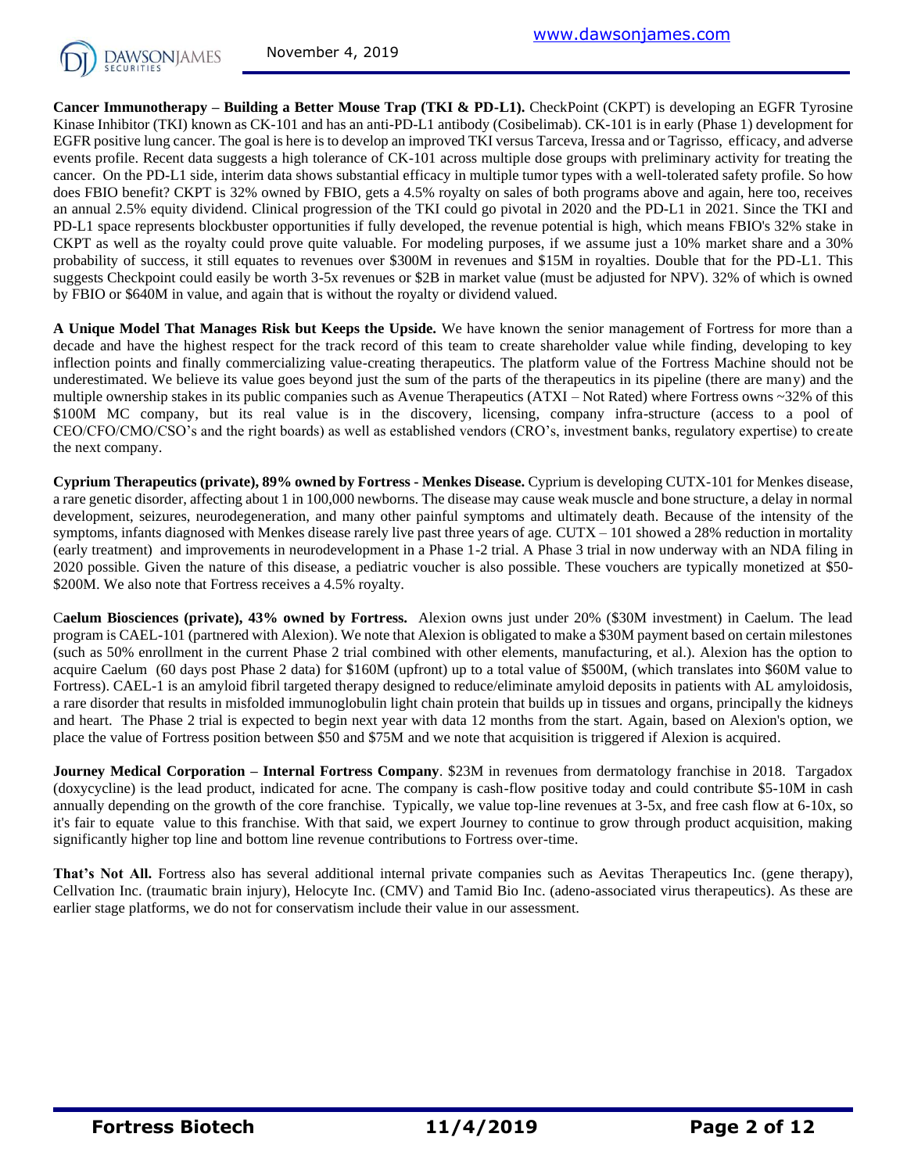

**Cancer Immunotherapy – Building a Better Mouse Trap (TKI & PD-L1).** CheckPoint (CKPT) is developing an EGFR Tyrosine Kinase Inhibitor (TKI) known as CK-101 and has an anti-PD-L1 antibody (Cosibelimab). CK-101 is in early (Phase 1) development for EGFR positive lung cancer. The goal is here is to develop an improved TKI versus Tarceva, Iressa and or Tagrisso, efficacy, and adverse events profile. Recent data suggests a high tolerance of CK-101 across multiple dose groups with preliminary activity for treating the cancer. On the PD-L1 side, interim data shows substantial efficacy in multiple tumor types with a well-tolerated safety profile. So how does FBIO benefit? CKPT is 32% owned by FBIO, gets a 4.5% royalty on sales of both programs above and again, here too, receives an annual 2.5% equity dividend. Clinical progression of the TKI could go pivotal in 2020 and the PD-L1 in 2021. Since the TKI and PD-L1 space represents blockbuster opportunities if fully developed, the revenue potential is high, which means FBIO's 32% stake in CKPT as well as the royalty could prove quite valuable. For modeling purposes, if we assume just a 10% market share and a 30% probability of success, it still equates to revenues over \$300M in revenues and \$15M in royalties. Double that for the PD-L1. This suggests Checkpoint could easily be worth 3-5x revenues or \$2B in market value (must be adjusted for NPV). 32% of which is owned by FBIO or \$640M in value, and again that is without the royalty or dividend valued.

**A Unique Model That Manages Risk but Keeps the Upside.** We have known the senior management of Fortress for more than a decade and have the highest respect for the track record of this team to create shareholder value while finding, developing to key inflection points and finally commercializing value-creating therapeutics. The platform value of the Fortress Machine should not be underestimated. We believe its value goes beyond just the sum of the parts of the therapeutics in its pipeline (there are many) and the multiple ownership stakes in its public companies such as Avenue Therapeutics (ATXI – Not Rated) where Fortress owns ~32% of this \$100M MC company, but its real value is in the discovery, licensing, company infra-structure (access to a pool of CEO/CFO/CMO/CSO's and the right boards) as well as established vendors (CRO's, investment banks, regulatory expertise) to create the next company.

**Cyprium Therapeutics (private), 89% owned by Fortress - Menkes Disease.** Cyprium is developing CUTX-101 for Menkes disease, a rare genetic disorder, affecting about 1 in 100,000 newborns. The disease may cause weak muscle and bone structure, a delay in normal development, seizures, neurodegeneration, and many other painful symptoms and ultimately death. Because of the intensity of the symptoms, infants diagnosed with Menkes disease rarely live past three years of age. CUTX – 101 showed a 28% reduction in mortality (early treatment) and improvements in neurodevelopment in a Phase 1-2 trial. A Phase 3 trial in now underway with an NDA filing in 2020 possible. Given the nature of this disease, a pediatric voucher is also possible. These vouchers are typically monetized at \$50- \$200M. We also note that Fortress receives a 4.5% royalty.

C**aelum Biosciences (private), 43% owned by Fortress.** Alexion owns just under 20% (\$30M investment) in Caelum. The lead program is CAEL-101 (partnered with Alexion). We note that Alexion is obligated to make a \$30M payment based on certain milestones (such as 50% enrollment in the current Phase 2 trial combined with other elements, manufacturing, et al.). Alexion has the option to acquire Caelum (60 days post Phase 2 data) for \$160M (upfront) up to a total value of \$500M, (which translates into \$60M value to Fortress). CAEL-1 is an amyloid fibril targeted therapy designed to reduce/eliminate amyloid deposits in patients with AL amyloidosis, a rare disorder that results in misfolded immunoglobulin light chain protein that builds up in tissues and organs, principally the kidneys and heart. The Phase 2 trial is expected to begin next year with data 12 months from the start. Again, based on Alexion's option, we place the value of Fortress position between \$50 and \$75M and we note that acquisition is triggered if Alexion is acquired.

**Journey Medical Corporation – Internal Fortress Company**. \$23M in revenues from dermatology franchise in 2018. Targadox (doxycycline) is the lead product, indicated for acne. The company is cash-flow positive today and could contribute \$5-10M in cash annually depending on the growth of the core franchise. Typically, we value top-line revenues at 3-5x, and free cash flow at 6-10x, so it's fair to equate value to this franchise. With that said, we expert Journey to continue to grow through product acquisition, making significantly higher top line and bottom line revenue contributions to Fortress over-time.

**That's Not All.** Fortress also has several additional internal private companies such as Aevitas Therapeutics Inc. (gene therapy), Cellvation Inc. (traumatic brain injury), Helocyte Inc. (CMV) and Tamid Bio Inc. (adeno-associated virus therapeutics). As these are earlier stage platforms, we do not for conservatism include their value in our assessment.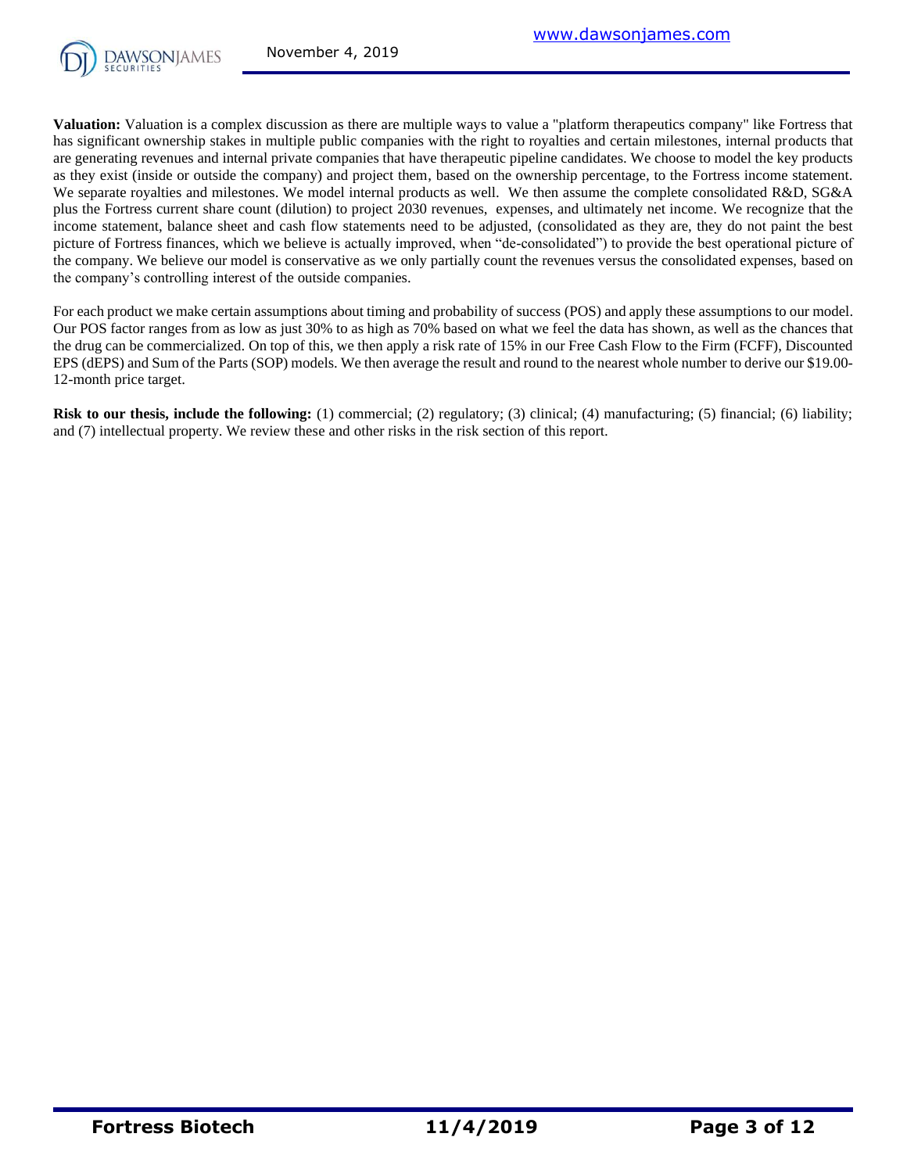

**Valuation:** Valuation is a complex discussion as there are multiple ways to value a "platform therapeutics company" like Fortress that has significant ownership stakes in multiple public companies with the right to royalties and certain milestones, internal products that are generating revenues and internal private companies that have therapeutic pipeline candidates. We choose to model the key products as they exist (inside or outside the company) and project them, based on the ownership percentage, to the Fortress income statement. We separate royalties and milestones. We model internal products as well. We then assume the complete consolidated R&D, SG&A plus the Fortress current share count (dilution) to project 2030 revenues, expenses, and ultimately net income. We recognize that the income statement, balance sheet and cash flow statements need to be adjusted, (consolidated as they are, they do not paint the best picture of Fortress finances, which we believe is actually improved, when "de-consolidated") to provide the best operational picture of the company. We believe our model is conservative as we only partially count the revenues versus the consolidated expenses, based on the company's controlling interest of the outside companies.

For each product we make certain assumptions about timing and probability of success (POS) and apply these assumptions to our model. Our POS factor ranges from as low as just 30% to as high as 70% based on what we feel the data has shown, as well as the chances that the drug can be commercialized. On top of this, we then apply a risk rate of 15% in our Free Cash Flow to the Firm (FCFF), Discounted EPS (dEPS) and Sum of the Parts (SOP) models. We then average the result and round to the nearest whole number to derive our \$19.00- 12-month price target.

**Risk to our thesis, include the following:** (1) commercial; (2) regulatory; (3) clinical; (4) manufacturing; (5) financial; (6) liability; and (7) intellectual property. We review these and other risks in the risk section of this report.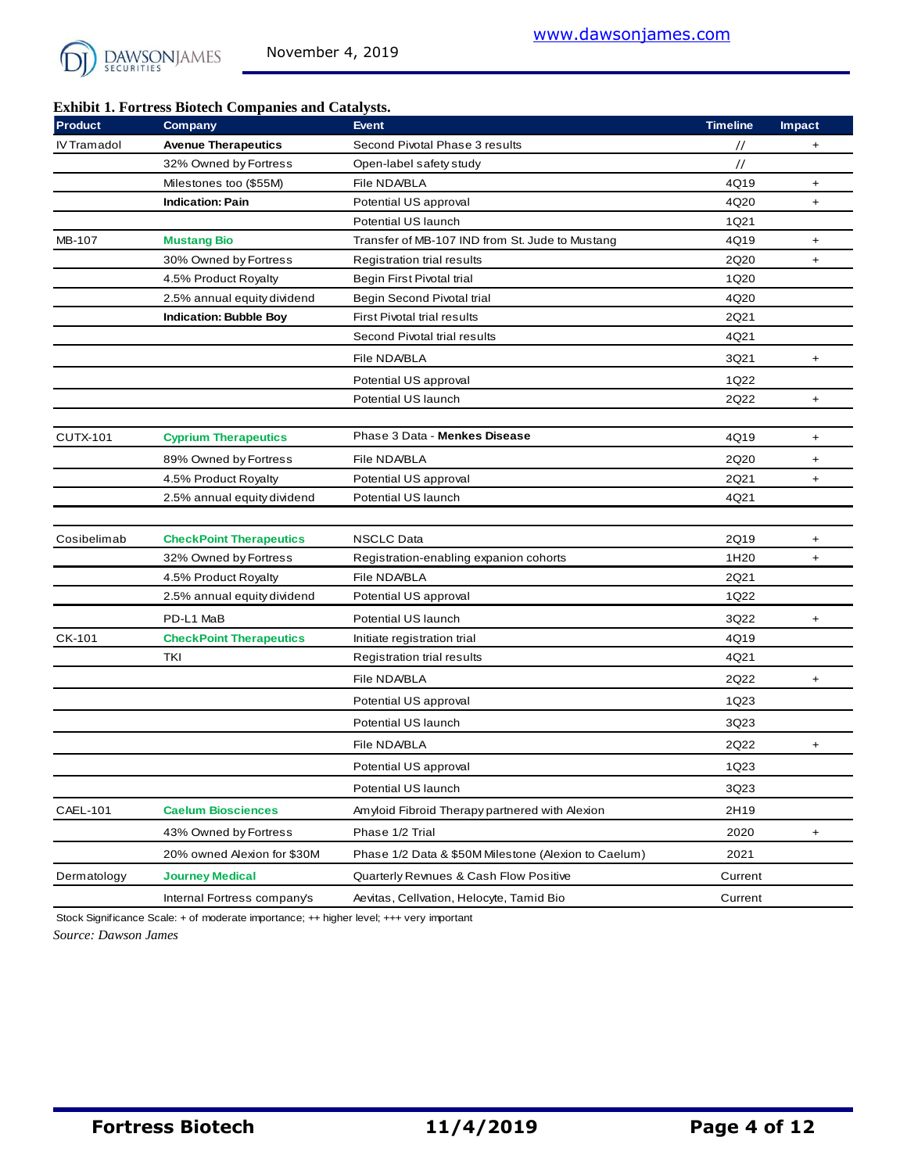

### **Exhibit 1. Fortress Biotech Companies and Catalysts.**

| <b>Product</b>  | Company                        | <b>Event</b>                                         | <b>Timeline</b>  | <b>Impact</b> |
|-----------------|--------------------------------|------------------------------------------------------|------------------|---------------|
| IV Tramadol     | <b>Avenue Therapeutics</b>     | Second Pivotal Phase 3 results                       | $\prime\prime$   | +             |
|                 | 32% Owned by Fortress          | Open-label safety study                              | $\frac{1}{2}$    |               |
|                 | Milestones too (\$55M)         | File NDA/BLA                                         | 4Q19             | $\ddot{}$     |
|                 | <b>Indication: Pain</b>        | Potential US approval                                | 4Q20             | $\ddot{}$     |
|                 |                                | Potential US launch                                  | 1Q21             |               |
| MB-107          | <b>Mustang Bio</b>             | Transfer of MB-107 IND from St. Jude to Mustang      | 4Q19             | $\ddot{}$     |
|                 | 30% Owned by Fortress          | Registration trial results                           | 2Q20             | +             |
|                 | 4.5% Product Royalty           | Begin First Pivotal trial                            | 1Q20             |               |
|                 | 2.5% annual equity dividend    | Begin Second Pivotal trial                           | 4Q20             |               |
|                 | <b>Indication: Bubble Boy</b>  | <b>First Pivotal trial results</b>                   | 2Q21             |               |
|                 |                                | Second Pivotal trial results                         | 4Q21             |               |
|                 |                                | File NDA/BLA                                         | 3Q21             | $\ddot{}$     |
|                 |                                | Potential US approval                                | 1Q22             |               |
|                 |                                | Potential US launch                                  | 2Q22             | $\ddot{}$     |
|                 |                                |                                                      |                  |               |
| <b>CUTX-101</b> | <b>Cyprium Therapeutics</b>    | Phase 3 Data - Menkes Disease                        | 4Q19             | $\ddot{}$     |
|                 | 89% Owned by Fortress          | File NDA/BLA                                         | 2Q20             | $\ddot{}$     |
|                 | 4.5% Product Royalty           | Potential US approval                                | 2Q21             | $\ddot{}$     |
|                 | 2.5% annual equity dividend    | Potential US launch                                  | 4Q21             |               |
|                 |                                |                                                      |                  |               |
| Cosibelimab     | <b>CheckPoint Therapeutics</b> | <b>NSCLC Data</b>                                    | 2Q19             | $\ddot{}$     |
|                 | 32% Owned by Fortress          | Registration-enabling expanion cohorts               | 1H <sub>20</sub> | $\ddot{}$     |
|                 | 4.5% Product Royalty           | File NDA/BLA                                         | 2Q21             |               |
|                 | 2.5% annual equity dividend    | Potential US approval                                | 1Q22             |               |
|                 | PD-L1 MaB                      | Potential US launch                                  | 3Q22             | +             |
| CK-101          | <b>CheckPoint Therapeutics</b> | Initiate registration trial                          | 4Q19             |               |
|                 | TKI                            | Registration trial results                           | 4Q21             |               |
|                 |                                | File NDA/BLA                                         | 2Q22             | +             |
|                 |                                | Potential US approval                                | 1Q23             |               |
|                 |                                | Potential US launch                                  | 3Q23             |               |
|                 |                                | File NDA/BLA                                         | 2Q22             |               |
|                 |                                |                                                      |                  | $\ddot{}$     |
|                 |                                | Potential US approval                                | 1Q23             |               |
|                 |                                | Potential US launch                                  | 3Q23             |               |
| CAEL-101        | <b>Caelum Biosciences</b>      | Amyloid Fibroid Therapy partnered with Alexion       | 2H19             |               |
|                 | 43% Owned by Fortress          | Phase 1/2 Trial                                      | 2020             | +             |
|                 | 20% owned Alexion for \$30M    | Phase 1/2 Data & \$50M Milestone (Alexion to Caelum) | 2021             |               |
| Dermatology     | <b>Journey Medical</b>         | Quarterly Revnues & Cash Flow Positive               | Current          |               |
|                 | Internal Fortress company's    | Aevitas, Cellvation, Helocyte, Tamid Bio             | Current          |               |

*Source: Dawson James* Stock Significance Scale: + of moderate importance; ++ higher level; +++ very important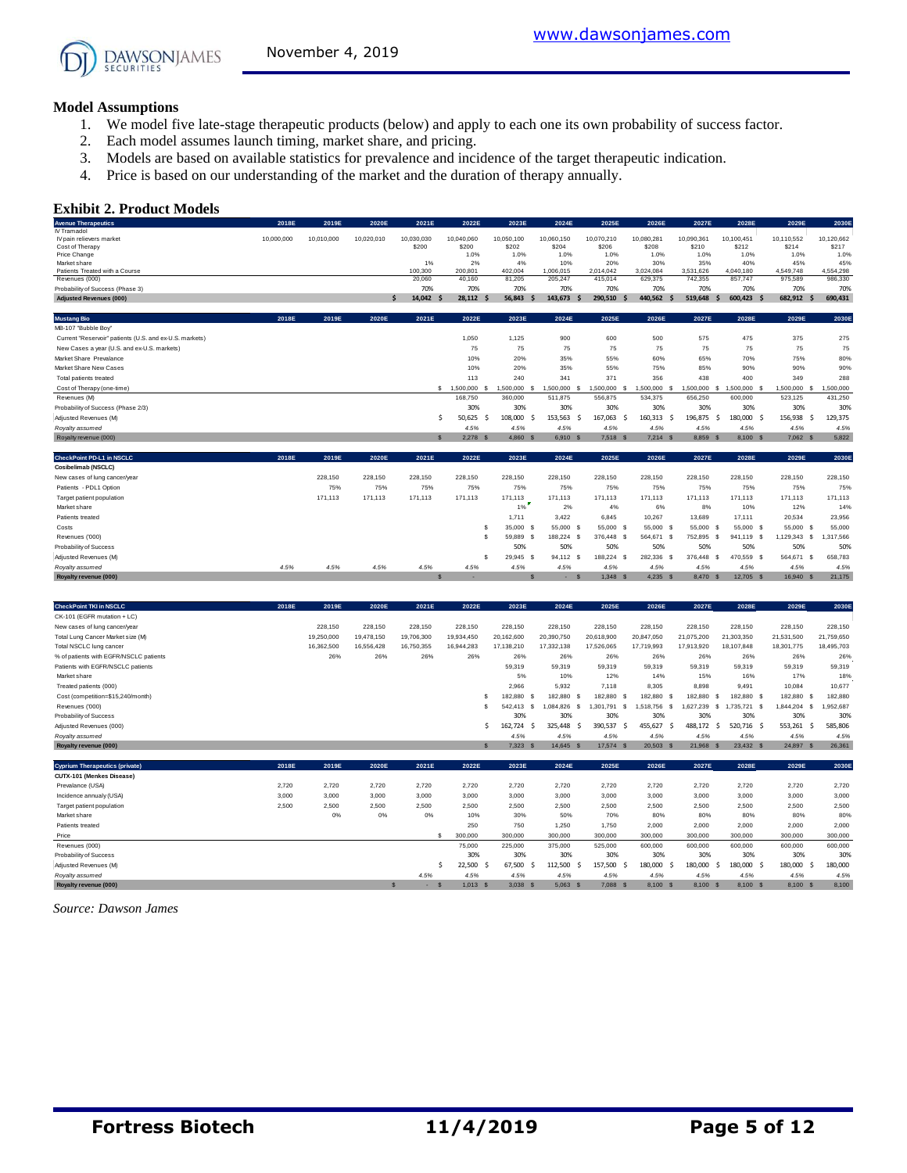#### **Model Assumptions**

- 1. We model five late-stage therapeutic products (below) and apply to each one its own probability of success factor.
- 2. Each model assumes launch timing, market share, and pricing.
- 3. Models are based on available statistics for prevalence and incidence of the target therapeutic indication.
- 4. Price is based on our understanding of the market and the duration of therapy annually.

#### **Exhibit 2. Product Models**

| <b>Avenue Therapeutics</b>                              | 2018E      | 2019E      | 2020E      | 2021E        | 2022E           | 2023E         | 2024E           | 2025E                 | 2026E                 | 2027E           | 2028E              | 2029E           | 2030E         |
|---------------------------------------------------------|------------|------------|------------|--------------|-----------------|---------------|-----------------|-----------------------|-----------------------|-----------------|--------------------|-----------------|---------------|
| IV Tramadol                                             |            |            |            |              |                 |               |                 |                       |                       |                 |                    |                 |               |
| IV pain relievers market                                | 10,000,000 | 10,010,000 | 10,020,010 | 10,030,030   | 10,040,060      | 10,050,100    | 10,060,150      | 10,070,210            | 10,080,281            | 10,090,361      | 10,100,451         | 10,110,552      | 10,120,662    |
| Cost of Therapy<br>Price Change                         |            |            |            | \$200        | \$200<br>1.0%   | \$202<br>1.0% | \$204<br>1.0%   | \$206<br>1.0%         | \$208<br>1.0%         | \$210<br>1.0%   | \$212<br>1.0%      | \$214<br>1.0%   | \$217<br>1.0% |
| Market share                                            |            |            |            | 1%           | 2%              | 4%            | 10%             | 20%                   | 30%                   | 35%             | 40%                | 45%             | 45%           |
| Patients Treated with a Course                          |            |            |            | 100,300      | 200,801         | 402.004       | 1.006.015       | 2.014.042             | 3.024.084             | 3.531.626       | 4.040.180          | 4.549.748       | 4.554.298     |
| Revenues (000)                                          |            |            |            | 20,060       | 40,160          | 81,205        | 205,247         | 415,014               | 629,375               | 742,355         | 857,747            | 975,589         | 986,330       |
| Probability of Success (Phase 3)                        |            |            |            | 70%          | 70%             | 70%           | 70%             | 70%                   | 70%                   | 70%             | 70%                | 70%             | 70%           |
| <b>Adjusted Revenues (000)</b>                          |            |            | S          | 14.042 \$    | 28.112 \$       | 56.843        | 143.673<br>-S   | 290.510<br>-S         | 440.562<br>- S        | 519.648         | 600.423 \$<br>Ŝ.   | 682.912<br>.S   | 690.431       |
| <b>Mustang Bio</b>                                      | 2018E      | 2019E      | 2020E      | 2021E        | 2022E           | 2023E         | 2024E           | 2025E                 | 2026E                 | 2027E           | 2028E              | 2029E           | 2030E         |
| MB-107 "Bubble Boy"                                     |            |            |            |              |                 |               |                 |                       |                       |                 |                    |                 |               |
| Current "Reservoir" patients (U.S. and ex-U.S. markets) |            |            |            |              | 1,050           | 1,125         | 900             | 600                   | 500                   | 575             | 475                | 375             | 275           |
| New Cases a year (U.S. and ex-U.S. markets)             |            |            |            |              | 75              | 75            | 75              | 75                    | 75                    | 75              | 75                 | 75              | 75            |
| Market Share Prevalance                                 |            |            |            |              | 10%             | 20%           | 35%             | 55%                   | 60%                   | 65%             | 70%                | 75%             | 80%           |
| Market Share New Cases                                  |            |            |            |              | 10%             | 20%           | 35%             | 55%                   | 75%                   | 85%             | 90%                | 90%             | 90%           |
| Total patients treated                                  |            |            |            |              | 113             | 240           | 341             | 371                   | 356                   | 438             | 400                | 349             | 288           |
| Cost of Therapy (one-time)                              |            |            |            |              | $$1,500,000$ \$ | 1,500,000     | 1.500.000<br>-S | 1,500,000<br>-S       | 1,500,000<br>£.       | 1,500,000       | -S<br>1,500,000 \$ | 1,500,000<br>.s | 1,500,000     |
| Revenues (M)                                            |            |            |            |              | 168,750         | 360,000       | 511.875         | 556,875               | 534,375               | 656,250         | 600,000            | 523,125         | 431,250       |
| Probability of Success (Phase 2/3)                      |            |            |            |              | 30%             | 30%           | 30%             | 30%                   | 30%                   | 30%             | 30%                | 30%             | 30%           |
| Adjusted Revenues (M)                                   |            |            |            | Ŝ.           | 50,625<br>-S    | 108,000<br>-Ś | 153,563<br>- Ś  | 167,063<br>-Ś         | 160,313<br>-Ŝ         | 196,875         | 180,000 \$<br>-Ś   | 156,938<br>.\$  | 129,375       |
| Royalty assumed                                         |            |            |            |              | 4.5%            | 4.5%          | 4.5%            | 4.5%                  | 4.5%                  | 4.5%            | 4.5%               | 4.5%            | 4.5%          |
| Royalty revenue (000)                                   |            |            |            | $\mathbf{s}$ | 2,278 \$        | 4,860 \$      | 6,910 S         | 7,518 \$              | $7,214$ \$            | 8,859 \$        | 8,100 \$           | 7,062 \$        | 5,822         |
| CheckPoint PD-L1 in NSCLC                               | 2018E      | 2019E      | 2020E      | 2021E        | 2022E           | 2023E         | 2024E           | 2025E                 | 2026E                 | 2027E           | 2028E              | 2029E           | 2030E         |
| Cosibelimab (NSCLC)                                     |            |            |            |              |                 |               |                 |                       |                       |                 |                    |                 |               |
| New cases of lung cancer/year                           |            | 228,150    | 228,150    | 228,150      | 228,150         | 228.150       | 228.150         | 228.150               | 228,150               | 228.150         | 228,150            | 228,150         | 228,150       |
| Patients - PDL1 Option                                  |            | 75%        | 75%        | 75%          | 75%             | 75%           | 75%             | 75%                   | 75%                   | 75%             | 75%                | 75%             | 75%           |
| Target patient population                               |            | 171,113    | 171,113    | 171,113      | 171,113         | 171,113       | 171.113         | 171,113               | 171,113               | 171,113         | 171,113            | 171,113         | 171,113       |
| Market share                                            |            |            |            |              |                 | E<br>1%       | 2%              | 4%                    | 6%                    | 8%              | 10%                | 12%             | 14%           |
| Patients treated                                        |            |            |            |              |                 | 1,711         | 3,422           | 6.845                 | 10,267                | 13,689          | 17,111             | 20,534          | 23,956        |
| Costs                                                   |            |            |            |              | s               | 35,000 \$     | 55,000 S        | 55,000 \$             | 55,000<br>$\mathbf s$ | 55,000 \$       | 55,000 \$          | 55,000<br>s     | 55,000        |
| Revenues ('000)                                         |            |            |            |              | \$.             | 59,889 \$     | 188,224 \$      | 376,448<br>-S         | 564,671 \$            | 752,895<br>- S  | 941,119 \$         | 1,129,343 \$    | 1,317,566     |
| Probability of Success                                  |            |            |            |              |                 | 50%           | 50%             | 50%                   | 50%                   | 50%             | 50%                | 50%             | 50%           |
| Adjusted Revenues (M)                                   |            |            |            |              | s               | 29.945<br>-S  | 94.112<br>-S    | 188,224<br>-S         | 282,336<br>- S        | 376,448<br>- \$ | 470,559 \$         | 564.671<br>- S  | 658,783       |
| Royalty assumed                                         | 4.5%       | 4.5%       | 4.5%       | 4.5%         | 4.5%            | 4.5%          | 4.5%            | 4.5%                  | 4.5%                  | 4.5%            | 4.5%               | 4.5%            | 4.5%          |
| Royalty revenue (000)                                   |            |            |            |              |                 |               | $\mathbf{s}$    | 1.348<br>$\mathbf{s}$ | $4.235$ \$            | 8.470 \$        | 12.705 \$          | 16.940 S        | 21,175        |
|                                                         |            |            |            |              |                 |               |                 |                       |                       |                 |                    |                 |               |
| <b>CheckPoint TKI in NSCLC</b>                          | 2018E      | 2019E      | 2020E      | 2021E        | 2022E           | 2023E         | 2024E           | 2025E                 | 2026E                 | 2027E           | 2028E              | 2029E           | 2030E         |

| <b>CheckPoint TKI in NSCLC</b>         | 2018E | 2019E      | 2020E      | 2021E      | 2022E      | 2023E      |            | 2024E      | 2025E           | 2026E       | 2027E           | 2028E       | 2029E         | 2030E      |
|----------------------------------------|-------|------------|------------|------------|------------|------------|------------|------------|-----------------|-------------|-----------------|-------------|---------------|------------|
| CK-101 (EGFR mutation + LC)            |       |            |            |            |            |            |            |            |                 |             |                 |             |               |            |
| New cases of lung cancer/year          |       | 228.150    | 228,150    | 228,150    | 228,150    | 228.150    | 228,150    |            | 228.150         | 228,150     | 228,150         | 228,150     | 228,150       | 228,150    |
| Total Lung Cancer Market size (M)      |       | 19,250,000 | 19,478,150 | 19,706,300 | 19,934,450 | 20,162,600 | 20,390,750 |            | 20,618,900      | 20,847,050  | 21,075,200      | 21,303,350  | 21,531,500    | 21,759,650 |
| Total NSCLC lung cancer                |       | 16,362,500 | 16,556,428 | 16,750,355 | 16.944.283 | 17,138,210 | 17,332,138 |            | 17,526,065      | 17,719,993  | 17,913,920      | 18,107,848  | 18,301,775    | 18,495,703 |
| % of patients with EGFR/NSCLC patients |       | 26%        | 26%        | 26%        | 26%        | 26%        |            | 26%        | 26%             | 26%         | 26%             | 26%         | 26%           | 26%        |
| Patients with EGFR/NSCLC patients      |       |            |            |            |            | 59,319     |            | 59,319     | 59,319          | 59,319      | 59,319          | 59,319      | 59,319        | 59,319     |
| Market share                           |       |            |            |            |            | 5%         |            | 10%        | 12%             | 14%         | 15%             | 16%         | 17%           | 18%        |
| Treated patients (000)                 |       |            |            |            |            | 2.966      |            | 5.932      | 7.118           | 8.305       | 8,898           | 9,491       | 10.084        | 10.677     |
| Cost (competition=\$15,240/month)      |       |            |            |            |            | 182.880    |            | 182,880 S  | 182,880<br>- 55 | 182,880     | 182,880<br>- 55 | 182.880 \$  | 182,880 \$    | 182,880    |
| Revenues ('000)                        |       |            |            |            |            | 542.413    | 1.084.826  |            | .301.791        | .518.756    | .627.239        | .735.721 \$ | .844.204<br>s | .952.687   |
| Probability of Success                 |       |            |            |            |            | 30%        |            | 30%        | 30%             | 30%         | 30%             | 30%         | 30%           | 30%        |
| Adjusted Revenues (000)                |       |            |            |            |            | 162.724    |            | 325.448 \$ | 390,537         | 455.627     | 488.172<br>-5   | 520.716 \$  | 553,261       | 585,806    |
| Royalty assumed                        |       |            |            |            |            | 4.5%       |            | 4.5%       | 4.5%            | 4.5%        | 4.5%            | 4.5%        | 4.5%          | 4.5%       |
| Royalty revenue (000)                  |       |            |            |            |            | 7.323 S    |            | 14.645 S   | 17.574<br>- S   | $20.503$ \$ | 21,968 \$       | 23.432 S    | 24.897 S      | 26,361     |

| <i>ivalum and all the states</i>      |       |       |       |       |              | .          | .          | .                     | .              | $\cdots$  | 1.970      | 1.070          | $\cdots$ |
|---------------------------------------|-------|-------|-------|-------|--------------|------------|------------|-----------------------|----------------|-----------|------------|----------------|----------|
| Royalty revenue (000)                 |       |       |       |       |              | 7.323S     | 14.645 S   | 17,574<br>-S          | 20,503<br>-53  | 21.968 \$ | 23.432 S   | 24,897 \$      | 26,361   |
|                                       |       |       |       |       |              |            |            |                       |                |           |            |                |          |
| <b>Cyprium Therapeutics (private)</b> | 2018E | 2019E | 2020E | 2021E | 2022E        | 2023E      | 2024E      | 2025E                 | 2026E          | 2027E     | 2028E      | 2029E          | 2030E    |
| CUTX-101 (Menkes Disease)             |       |       |       |       |              |            |            |                       |                |           |            |                |          |
| Prevalance (USA)                      | 2,720 | 2.720 | 2.720 | 2.720 | 2,720        | 2.720      | 2,720      | 2,720                 | 2.720          | 2,720     | 2,720      | 2.720          | 2,720    |
| Incidence annualy (USA)               | 3.000 | 3.000 | 3,000 | 3,000 | 3,000        | 3,000      | 3,000      | 3,000                 | 3,000          | 3,000     | 3,000      | 3,000          | 3,000    |
| Target patient population             | 2,500 | 2,500 | 2,500 | 2,500 | 2,500        | 2,500      | 2,500      | 2,500                 | 2,500          | 2,500     | 2,500      | 2,500          | 2,500    |
| Market share                          |       | 0%    | 0%    | 0%    | 10%          | 30%        | 50%        | 70%                   | 80%            | 80%       | 80%        | 80%            | 80%      |
| Patients treated                      |       |       |       |       | 250          | 750        | 1,250      | 1,750                 | 2,000          | 2,000     | 2,000      | 2,000          | 2,000    |
| Price                                 |       |       |       |       | 300,000      | 300,000    | 300,000    | 300,000               | 300,000        | 300,000   | 300,000    | 300,000        | 300,000  |
| Revenues (000)                        |       |       |       |       | 75,000       | 225,000    | 375,000    | 525,000               | 600,000        | 600,000   | 600,000    | 600,000        | 600,000  |
| Probability of Success                |       |       |       |       | 30%          | 30%        | 30%        | 30%                   | 30%            | 30%       | 30%        | 30%            | 30%      |
| Adjusted Revenues (M)                 |       |       |       |       | 22,500<br>-S | 67.500     | 112,500 \$ | 157,500               | 180,000<br>- 5 | 180,000   | 180,000 \$ | 180,000<br>- 5 | 180,000  |
| Royalty assumed                       |       |       |       | 4.5%  | 4.5%         | 4.5%       | 4.5%       | 4.5%                  | 4.5%           | 4.5%      | 4.5%       | 4.5%           | 4.5%     |
| Royalty revenue (000)                 |       |       |       | . .   | $1,013$ \$   | $3,038$ \$ | $5,063$ \$ | 7,088<br>$\mathbf{s}$ | 8,100 \$       | 8,100 \$  | 8,100 \$   | 8,100 \$       | 8,100    |

*Source: Dawson James*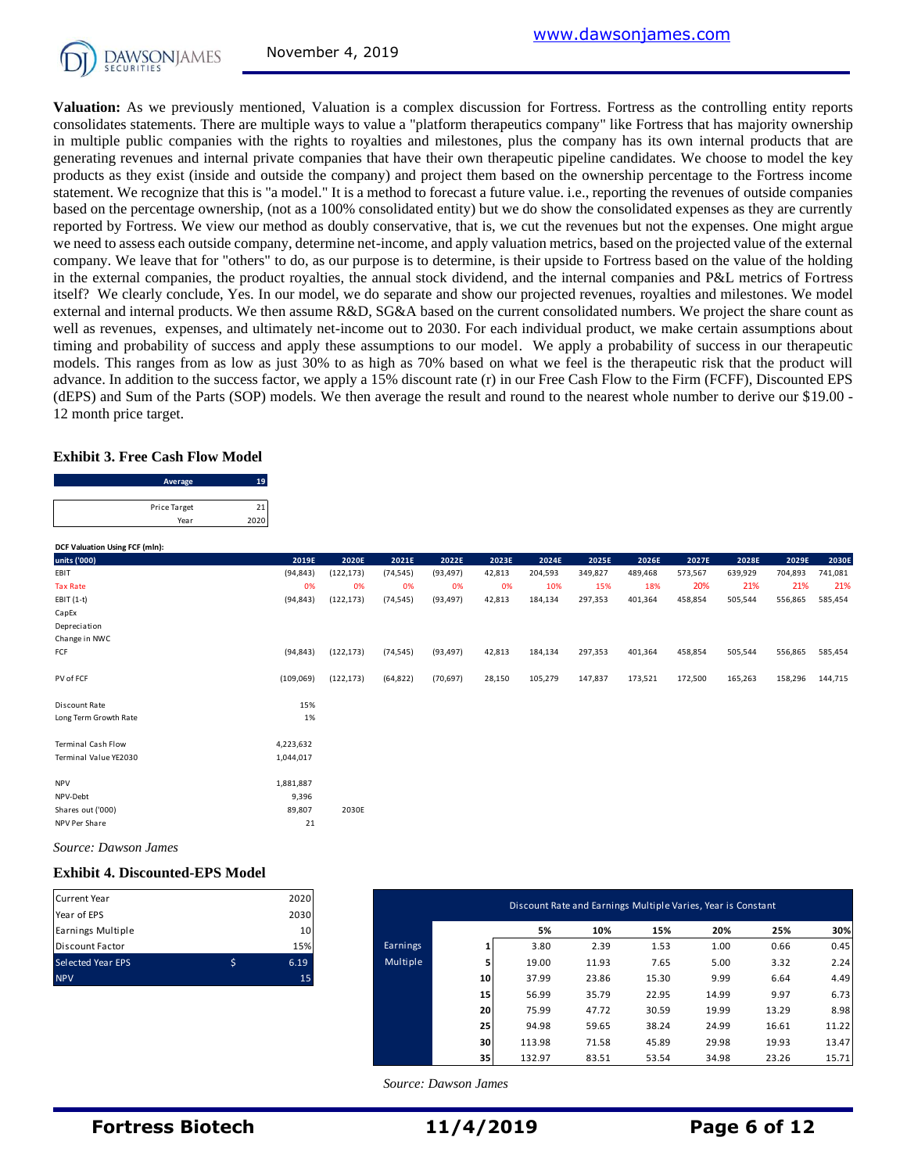**Valuation:** As we previously mentioned, Valuation is a complex discussion for Fortress. Fortress as the controlling entity reports consolidates statements. There are multiple ways to value a "platform therapeutics company" like Fortress that has majority ownership in multiple public companies with the rights to royalties and milestones, plus the company has its own internal products that are generating revenues and internal private companies that have their own therapeutic pipeline candidates. We choose to model the key products as they exist (inside and outside the company) and project them based on the ownership percentage to the Fortress income statement. We recognize that this is "a model." It is a method to forecast a future value. i.e., reporting the revenues of outside companies based on the percentage ownership, (not as a 100% consolidated entity) but we do show the consolidated expenses as they are currently reported by Fortress. We view our method as doubly conservative, that is, we cut the revenues but not the expenses. One might argue we need to assess each outside company, determine net-income, and apply valuation metrics, based on the projected value of the external company. We leave that for "others" to do, as our purpose is to determine, is their upside to Fortress based on the value of the holding in the external companies, the product royalties, the annual stock dividend, and the internal companies and P&L metrics of Fortress itself? We clearly conclude, Yes. In our model, we do separate and show our projected revenues, royalties and milestones. We model external and internal products. We then assume R&D, SG&A based on the current consolidated numbers. We project the share count as well as revenues, expenses, and ultimately net-income out to 2030. For each individual product, we make certain assumptions about timing and probability of success and apply these assumptions to our model. We apply a probability of success in our therapeutic models. This ranges from as low as just 30% to as high as 70% based on what we feel is the therapeutic risk that the product will advance. In addition to the success factor, we apply a 15% discount rate (r) in our Free Cash Flow to the Firm (FCFF), Discounted EPS (dEPS) and Sum of the Parts (SOP) models. We then average the result and round to the nearest whole number to derive our \$19.00 - 12 month price target.

#### **Exhibit 3. Free Cash Flow Model**

| 12 month price target.                 |      |
|----------------------------------------|------|
| <b>Exhibit 3. Free Cash Flow Model</b> |      |
| Average                                | 19   |
| Price Target                           | 21   |
| Year                                   | 2020 |

| DCF Valuation Using FCF (mln): |           |            |           |           |        |         |         |         |         |         |         |         |
|--------------------------------|-----------|------------|-----------|-----------|--------|---------|---------|---------|---------|---------|---------|---------|
| units ('000)                   | 2019E     | 2020E      | 2021E     | 2022E     | 2023E  | 2024E   | 2025E   | 2026E   | 2027E   | 2028E   | 2029E   | 2030E   |
| EBIT                           | (94, 843) | (122, 173) | (74, 545) | (93, 497) | 42,813 | 204,593 | 349,827 | 489,468 | 573,567 | 639,929 | 704,893 | 741,081 |
| <b>Tax Rate</b>                | 0%        | 0%         | 0%        | 0%        | 0%     | 10%     | 15%     | 18%     | 20%     | 21%     | 21%     | 21%     |
| EBIT (1-t)                     | (94, 843) | (122, 173) | (74, 545) | (93, 497) | 42,813 | 184,134 | 297,353 | 401,364 | 458,854 | 505,544 | 556,865 | 585,454 |
| CapEx                          |           |            |           |           |        |         |         |         |         |         |         |         |
| Depreciation                   |           |            |           |           |        |         |         |         |         |         |         |         |
| Change in NWC                  |           |            |           |           |        |         |         |         |         |         |         |         |
| FCF                            | (94, 843) | (122, 173) | (74, 545) | (93, 497) | 42,813 | 184,134 | 297,353 | 401,364 | 458,854 | 505,544 | 556,865 | 585,454 |
| PV of FCF                      | (109,069) | (122, 173) | (64, 822) | (70, 697) | 28,150 | 105,279 | 147,837 | 173,521 | 172,500 | 165,263 | 158,296 | 144,715 |
| Discount Rate                  | 15%       |            |           |           |        |         |         |         |         |         |         |         |
| Long Term Growth Rate          | 1%        |            |           |           |        |         |         |         |         |         |         |         |
| <b>Terminal Cash Flow</b>      | 4,223,632 |            |           |           |        |         |         |         |         |         |         |         |
| Terminal Value YE2030          | 1,044,017 |            |           |           |        |         |         |         |         |         |         |         |
| <b>NPV</b>                     | 1,881,887 |            |           |           |        |         |         |         |         |         |         |         |
| NPV-Debt                       | 9,396     |            |           |           |        |         |         |         |         |         |         |         |
| Shares out ('000)              | 89,807    | 2030E      |           |           |        |         |         |         |         |         |         |         |
| NPV Per Share                  | 21        |            |           |           |        |         |         |         |         |         |         |         |

*Source: Dawson James*

#### **Exhibit 4. Discounted-EPS Model**

| <b>Current Year</b>      | 2020 |
|--------------------------|------|
| Year of EPS              | 2030 |
| Earnings Multiple        | 10   |
| <b>Discount Factor</b>   | 15%  |
| <b>Selected Year EPS</b> | 6.19 |
| <b>NPV</b>               | 15   |

| Current Year                     | 2020                    |          |                 | Discount Rate and Earnings Multiple Varies, Year is Constant |       |       |       |       |       |
|----------------------------------|-------------------------|----------|-----------------|--------------------------------------------------------------|-------|-------|-------|-------|-------|
| Year of EPS<br>Earnings Multiple | 2030<br>10 <sup>1</sup> |          |                 | 5%                                                           | 10%   | 15%   | 20%   | 25%   | 30%   |
| Discount Factor                  | 15%                     | Earnings |                 | 3.80                                                         | 2.39  | 1.53  | 1.00  | 0.66  | 0.45  |
| Selected Year EPS                | \$<br>6.19              | Multiple | 5               | 19.00                                                        | 11.93 | 7.65  | 5.00  | 3.32  | 2.24  |
| <b>NPV</b>                       | 15                      |          | 10 <sub>1</sub> | 37.99                                                        | 23.86 | 15.30 | 9.99  | 6.64  | 4.49  |
|                                  |                         |          | 15              | 56.99                                                        | 35.79 | 22.95 | 14.99 | 9.97  | 6.73  |
|                                  |                         |          | 20              | 75.99                                                        | 47.72 | 30.59 | 19.99 | 13.29 | 8.98  |
|                                  |                         |          | 25              | 94.98                                                        | 59.65 | 38.24 | 24.99 | 16.61 | 11.22 |
|                                  |                         |          | 30              | 113.98                                                       | 71.58 | 45.89 | 29.98 | 19.93 | 13.47 |
|                                  |                         |          | 35              | 132.97                                                       | 83.51 | 53.54 | 34.98 | 23.26 | 15.71 |

 *Source: Dawson James*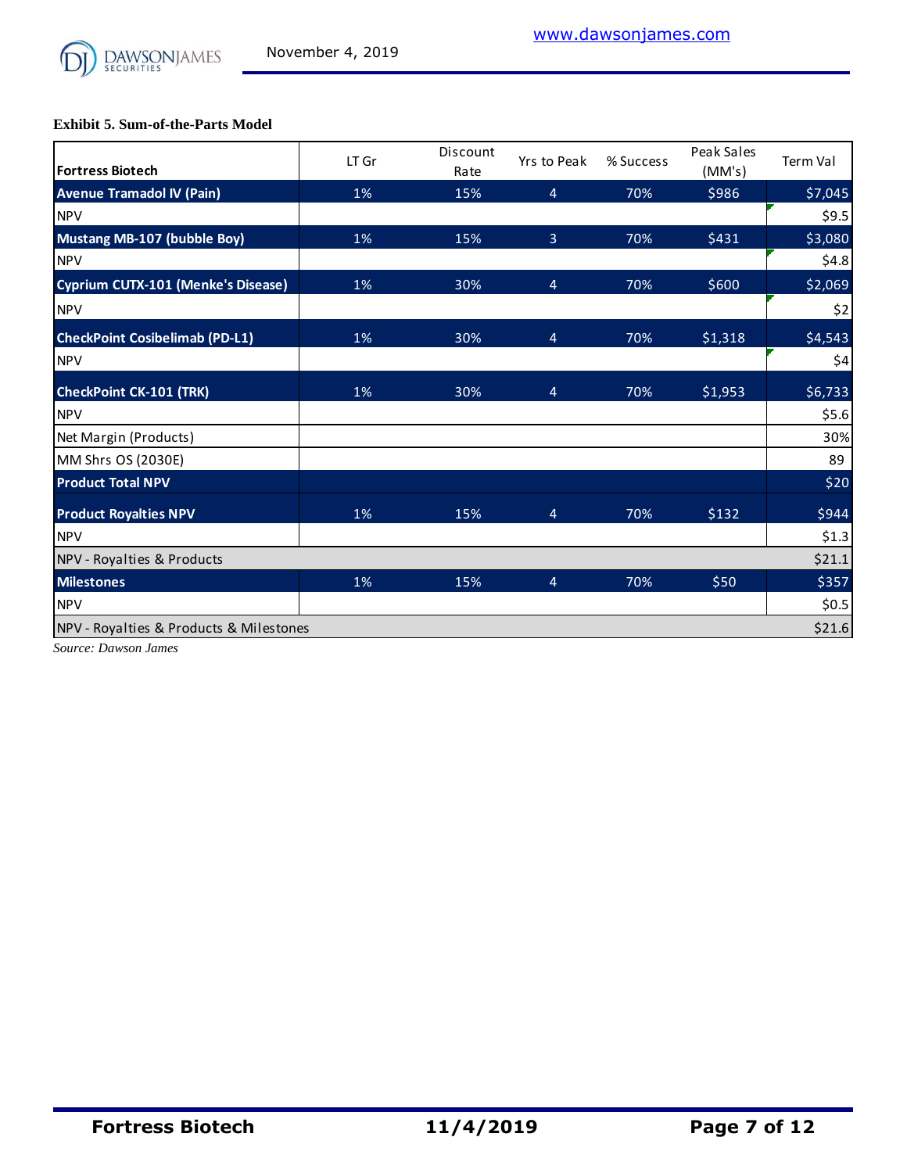

**Exhibit 5. Sum-of-the-Parts Model**

| <b>Fortress Biotech</b>                 | LT Gr | Discount<br>Rate | Yrs to Peak    | % Success | Peak Sales<br>(MM's) | <b>Term Val</b> |
|-----------------------------------------|-------|------------------|----------------|-----------|----------------------|-----------------|
| <b>Avenue Tramadol IV (Pain)</b>        | 1%    | 15%              | $\overline{4}$ | 70%       | \$986                | \$7,045         |
| <b>NPV</b>                              |       |                  |                |           |                      | \$9.5           |
| Mustang MB-107 (bubble Boy)             | 1%    | 15%              | $\overline{3}$ | 70%       | \$431                | \$3,080         |
| <b>NPV</b>                              |       |                  |                |           |                      | \$4.8           |
| Cyprium CUTX-101 (Menke's Disease)      | 1%    | 30%              | $\overline{4}$ | 70%       | \$600                | \$2,069         |
| <b>NPV</b>                              |       |                  |                |           |                      | \$2             |
| <b>CheckPoint Cosibelimab (PD-L1)</b>   | 1%    | 30%              | $\overline{4}$ | 70%       | \$1,318              | \$4,543         |
| <b>NPV</b>                              |       |                  |                |           |                      | \$4             |
| <b>CheckPoint CK-101 (TRK)</b>          | 1%    | 30%              | $\overline{4}$ | 70%       | \$1,953              | \$6,733         |
| <b>NPV</b>                              |       |                  |                |           |                      | \$5.6           |
| Net Margin (Products)                   |       |                  |                |           |                      | 30%             |
| MM Shrs OS (2030E)                      |       |                  |                |           |                      | 89              |
| <b>Product Total NPV</b>                |       |                  |                |           |                      | \$20            |
| <b>Product Royalties NPV</b>            | 1%    | 15%              | $\overline{4}$ | 70%       | \$132                | \$944           |
| <b>NPV</b>                              |       |                  |                |           |                      | \$1.3           |
| NPV - Royalties & Products              |       |                  |                |           |                      | \$21.1          |
| <b>Milestones</b>                       | 1%    | 15%              | $\overline{4}$ | 70%       | \$50                 | \$357           |
| <b>NPV</b>                              |       |                  |                |           |                      | \$0.5           |
| NPV - Royalties & Products & Milestones |       |                  |                |           |                      | \$21.6          |

*Source: Dawson James*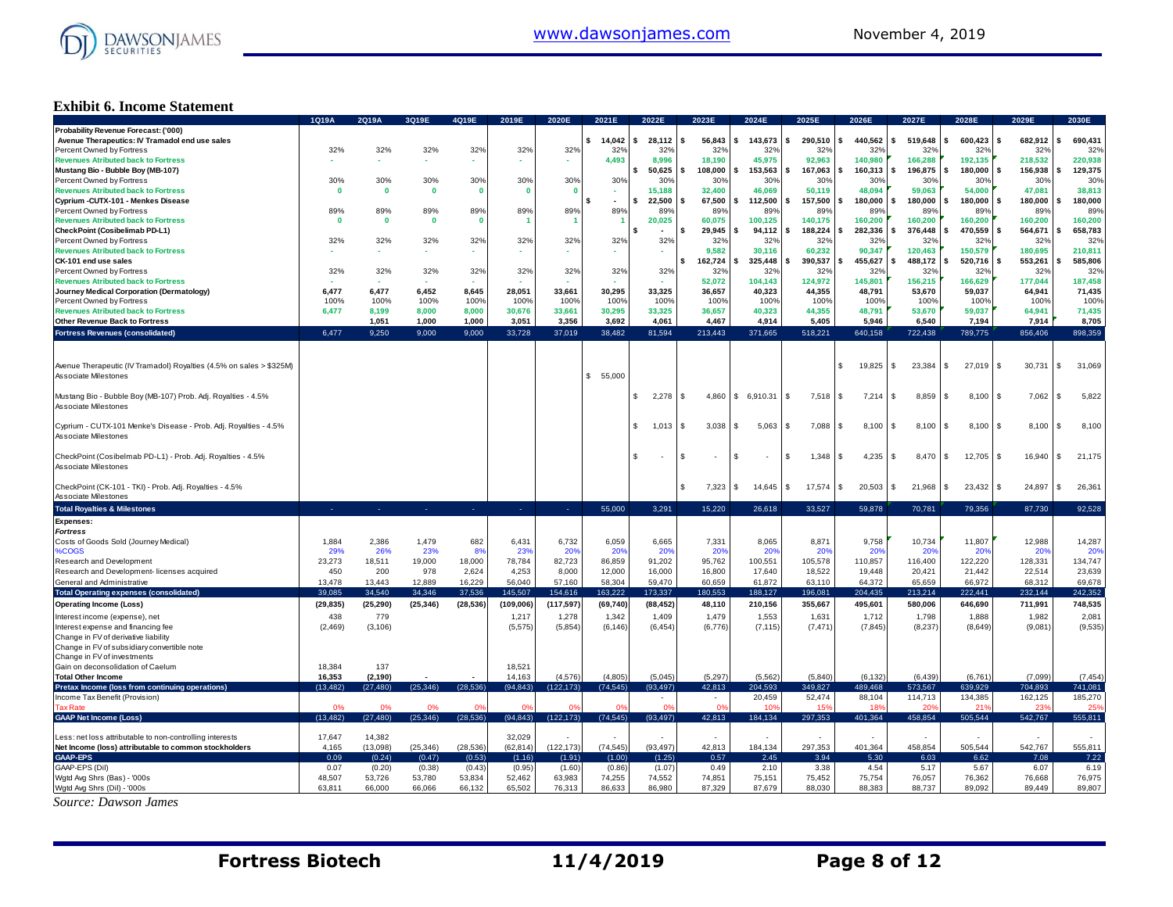

### **Exhibit 6. Income Statement**

|                                                                     | 1Q19A        | 2Q19A        | 3Q19E        | 4Q19E        | 2019E          | 2020E        | 2021E                    | 2022E            | 2023E                          | 2024E         | 2025E                | 2026E         | 2027E          | 2028E              | 2029E                  | 2030E          |
|---------------------------------------------------------------------|--------------|--------------|--------------|--------------|----------------|--------------|--------------------------|------------------|--------------------------------|---------------|----------------------|---------------|----------------|--------------------|------------------------|----------------|
| Probability Revenue Forecast: ('000)                                |              |              |              |              |                |              |                          |                  |                                |               |                      |               |                |                    |                        |                |
| Avenue Therapeutics: IV Tramadol end use sales                      |              |              |              |              |                |              | \$14,042                 | s.<br>28.112     | 56,843<br>$\mathbf{s}$         | s.<br>143,673 | s.<br>290,510        | s.<br>440.562 | \$<br>519,648  | 600,423            | 682,912<br>\$          | 690,431        |
| Percent Owned by Fortress                                           | 32%          | 32%          | 32%          | 32%          | 32%            | 32%          | 32%                      | 32%              | 32%                            | 32%           | 32%                  | 32%           | 32%            | 32%                | 32%                    | 32%            |
| <b>Revenues Atributed back to Fortress</b>                          |              |              |              |              |                |              | 4,493                    | 8,996            | 18,190                         | 45,975        | 92,963               | 140,980       | 166,288        | 192,135            | 218,532                | 220,938        |
| Mustang Bio - Bubble Boy (MB-107)                                   |              |              |              |              |                |              |                          | 50,625<br>\$     | 108.000<br>s.                  | 153,563       | 167.063<br>s.        | 160,313<br>s. | 196,875<br>\$  | 180.000            | 156,938<br>\$          | 129,375        |
| Percent Owned by Fortress                                           | 30%          | 30%          | 30%          | 30%          | 30%            | 30%          | 30%                      |                  |                                | 30%           | 30 <sup>o</sup>      | 30%           | 30%            | 30%                | 30%                    | 30%            |
|                                                                     |              |              |              |              |                |              |                          | 30%              | 30%                            |               |                      |               |                |                    |                        |                |
| <b>Revenues Atributed back to Fortress</b>                          | $\mathbf{0}$ | $\mathbf{0}$ | $\bf{0}$     | $\mathbf{0}$ | - 0            | $\mathbf{0}$ |                          | 15,188           | 32,400                         | 46,069        | 50,119               | 48,094        | 59,063         | 54,000             | 47,081                 | 38,813         |
| Cyprium - CUTX-101 - Menkes Disease                                 |              |              |              |              |                |              | $\overline{\phantom{a}}$ | 22,500           | 67.500<br>- \$                 | 112.500<br>\$ | 157.500<br>s.        | s.<br>180.000 | \$<br>180.000  | 180.000            | 180.000<br>\$          | 180,000        |
| Percent Owned by Fortress                                           | 89%          | 89%          | 89%          | 89%          | 89%            | 89%          | 89%                      | 89%              | 89%                            | 89%           | 89%                  | 89%           | 89%            | 89%                | 89%                    | 89%            |
| <b>Revenues Atributed back to Fortress</b>                          | $\mathbf{0}$ | $\mathbf{0}$ | $\mathbf{0}$ | $\mathbf{0}$ |                |              |                          | 20,025           | 60.075                         | 100,125       | 140.175              | 160.200       | 160.200        | 160.200            | 160,200                | 160,200        |
| CheckPoint (Cosibelimab PD-L1)                                      |              |              |              |              |                |              |                          | $\sim$           | 29,945<br>\$.                  | 94,112        | 188,224<br>\$        | 282,336<br>s. | 376,448<br>\$  | 470,559            | 564,671<br>\$          | 658,783<br>ικ  |
| Percent Owned by Fortress                                           | 32%          | 32%          | 32%          | 32%          | 32%            | 32%          | 32%                      | 32%              | 32%                            | 32%           | 329                  | 32%           | 32%            | 32%                | 32%                    | 32%            |
| <b>Revenues Atributed back to Fortress</b>                          |              |              |              |              |                |              |                          |                  | 9.582                          | 30.116        | 60.232               | 90.347        | 120.463        | 150.579            | 180.695                | 210,811        |
|                                                                     |              |              | $\sim$       | ٠            |                | . .          | ۰.                       | ٠                |                                |               |                      |               |                |                    |                        |                |
| CK-101 end use sales                                                |              |              |              |              |                |              |                          |                  | 162,724<br>Ŝ                   | 325,448       | 390,537<br>¢         | 455,627<br>s. | 488,172<br>\$. | 520,716            | 553,261                | 585,806        |
| Percent Owned by Fortress                                           | 32%          | 32%          | 32%          | 32%          | 32%            | 32%          | 32%                      | 32%              | 32%                            | 32%           | 32%                  | 32%           | 32%            | 32%                | 32%                    | 32%            |
| <b>Revenues Atributed back to Fortress</b>                          |              |              |              |              |                |              |                          |                  | 52.072                         | 104.143       | 124.972              | 145,801       | 156.215        | 166.629            | 177.044                | 187,458        |
| Journey Medical Corporation (Dermatology)                           | 6,477        | 6,477        | 6,452        | 8,645        | 28,051         | 33,661       | 30,295                   | 33,325           | 36,657                         | 40,323        | 44,355               | 48,791        | 53,670         | 59,037             | 64,941                 | 71,435         |
| Percent Owned by Fortress                                           | 100%         | 100%         | 100%         | 100%         | 100%           | 100%         | 100%                     | 100%             | 100%                           | 100%          | 100%                 | 100%          | 100%           | 100%               | 100%                   | 100%           |
| <b>Revenues Atributed back to Fortress</b>                          | 6,477        | 8,199        | 8,000        | 8,000        | 30,676         | 33,661       | 30,295                   | 33,325           | 36,657                         | 40,323        | 44,355               | 48,791        | 53,670         | 59,037             | 64,941                 | 71,435         |
|                                                                     |              |              |              |              |                |              |                          |                  |                                |               |                      |               |                |                    |                        |                |
| Other Revenue Back to Fortress                                      |              | 1,051        | 1,000        | 1,000        | 3,051          | 3,356        | 3,692                    | 4,061            | 4,467                          | 4,914         | 5,405                | 5,946         | 6,540          | 7,194              | 7,914                  | 8,705          |
| <b>Fortress Revenues (consolidated)</b>                             | 6.477        | 9.250        | 9.000        | 9.000        | 33.728         | 37.019       | 38.482                   | 81.594           | 213.443                        | 371.665       | 518.221              | 640,158       | 722,438        | 789,775            | 856,406                | 898.359        |
|                                                                     |              |              |              |              |                |              |                          |                  |                                |               |                      |               |                |                    |                        |                |
|                                                                     |              |              |              |              |                |              |                          |                  |                                |               |                      |               |                |                    |                        |                |
| Avenue Therapeutic (IV Tramadol) Royalties (4.5% on sales > \$325M) |              |              |              |              |                |              |                          |                  |                                |               |                      | 19,825        | \$<br>23,384   | 27,019             | 30,731<br>£.           | 31,069<br>l \$ |
| Associate Milestones                                                |              |              |              |              |                |              | \$55,000                 |                  |                                |               |                      |               |                |                    |                        |                |
|                                                                     |              |              |              |              |                |              |                          |                  |                                |               |                      |               |                |                    |                        |                |
|                                                                     |              |              |              |              |                |              |                          |                  |                                |               |                      |               |                |                    |                        |                |
| Mustang Bio - Bubble Boy (MB-107) Prob. Adj. Royalties - 4.5%       |              |              |              |              |                |              |                          | \$<br>$2,278$ \$ | 4,860                          | \$6,910.31    | 7,518<br>$\mathbf s$ | 7,214<br>S.   | 8,859<br>\$    | 8,100              | 7,062<br>$\mathbf{s}$  | 5,822<br>l \$  |
| <b>Associate Milestones</b>                                         |              |              |              |              |                |              |                          |                  |                                |               |                      |               |                |                    |                        |                |
|                                                                     |              |              |              |              |                |              |                          |                  |                                |               |                      |               |                |                    |                        |                |
| Cyprium - CUTX-101 Menke's Disease - Prob. Adj. Royalties - 4.5%    |              |              |              |              |                |              |                          | 1,013<br>S.      | 3,038<br>l S                   | \$<br>5,063   | 7,088<br>\$          | 8,100<br>£.   | \$<br>8,100    | 8,100              | 8,100<br>£.            | 8,100<br>l SS  |
| Associate Milestones                                                |              |              |              |              |                |              |                          |                  |                                |               |                      |               |                |                    |                        |                |
|                                                                     |              |              |              |              |                |              |                          |                  |                                |               |                      |               |                |                    |                        |                |
|                                                                     |              |              |              |              |                |              |                          |                  |                                |               |                      |               |                |                    |                        |                |
| CheckPoint (Cosibelmab PD-L1) - Prob. Adj. Royalties - 4.5%         |              |              |              |              |                |              |                          | £.               | \$<br>$\overline{\phantom{a}}$ | -S            | 1,348<br>S           | 4,235<br>£.   | 8,470<br>\$    | 12,705<br><b>S</b> | 16,940<br>$\mathbf{s}$ | 21,175<br>l \$ |
| Associate Milestones                                                |              |              |              |              |                |              |                          |                  |                                |               |                      |               |                |                    |                        |                |
|                                                                     |              |              |              |              |                |              |                          |                  |                                |               |                      |               |                |                    |                        |                |
| CheckPoint (CK-101 - TKI) - Prob. Adj. Royalties - 4.5%             |              |              |              |              |                |              |                          |                  | S<br>7,323                     | S<br>14,645   | 17,574<br>S          | 20,503<br>S   | 21,968<br>\$   | 23,432             | 24,897<br>\$.          | 26,361<br>- \$ |
| <b>Associate Milestones</b>                                         |              |              |              |              |                |              |                          |                  |                                |               |                      |               |                |                    |                        |                |
|                                                                     |              |              |              |              |                |              | 55,000                   | 3.291            | 15.220                         |               | 33.527               | 59.878        |                | 79.356             |                        | 92.528         |
| <b>Total Royalties &amp; Milestones</b>                             |              |              | n.           | 14           | $\sim$         | ×.           |                          |                  |                                | 26,618        |                      |               | 70,781         |                    | 87,730                 |                |
| <b>Expenses:</b>                                                    |              |              |              |              |                |              |                          |                  |                                |               |                      |               |                |                    |                        |                |
| <b>Fortress</b>                                                     |              |              |              |              |                |              |                          |                  |                                |               |                      |               |                |                    |                        |                |
| Costs of Goods Sold (Journey Medical)                               | 1,884        | 2,386        | 1,479        | 682          | 6,431          | 6,732        | 6,059                    | 6,665            | 7,331                          | 8,065         | 8,871                | 9,758         | 10,734         | 11,807             | 12,988                 | 14,287         |
| %COGS                                                               | 29%          | 26%          | 23%          | 8%           | 23%            | 20%          | 20%                      | 20%              | 20%                            | 20%           | 20 <sup>o</sup>      | 20%           | 20%            | 20%                | 20%                    | 20%            |
| Research and Development                                            | 23,273       | 18,511       | 19,000       | 18,000       | 78,784         | 82,723       | 86,859                   | 91,202           | 95,762                         | 100,551       | 105,578              | 110,857       | 116,400        | 122,220            | 128,331                | 134,747        |
|                                                                     |              |              |              | 2,624        | 4,253          | 8,000        | 12,000                   | 16,000           | 16,800                         | 17,640        | 18,522               | 19,448        | 20,421         | 21,442             | 22,514                 |                |
| Research and Development- licenses acquired                         | 450          | 200          | 978          |              |                |              |                          |                  |                                |               |                      |               |                |                    |                        | 23,639         |
| General and Administrative                                          | 13,478       | 13,443       | 12,889       | 16,229       | 56.040         | 57,160       | 58.304                   | 59,470           | 60.659                         | 61,872        | 63,110               | 64.372        | 65.659         | 66,972             | 68.312                 | 69,678         |
| <b>Total Operating expenses (consolidated)</b>                      | 39.085       | 34.540       | 34.346       | 37.536       | 145,507        | 154,616      | 163.222                  | 173.337          | 180.553                        | 188,127       | 196.081              | 204,435       | 213.214        | 222.441            | 232.144                | 242,352        |
| <b>Operating Income (Loss)</b>                                      | (29, 835)    | (25, 290)    | (25, 346)    | (28, 536)    | (109, 006)     | (117, 597)   | (69, 740)                | (88, 452)        | 48,110                         | 210,156       | 355,667              | 495,601       | 580,006        | 646,690            | 711,991                | 748,535        |
|                                                                     |              |              |              |              |                |              |                          |                  |                                |               |                      |               |                |                    |                        |                |
| Interest income (expense), net                                      | 438          | 779          |              |              | 1,217          | 1,278        | 1,342                    | 1,409            | 1,479                          | 1,553         | 1,631                | 1,712         | 1,798          | 1,888              | 1,982                  | 2,081          |
| Interest expense and financing fee                                  | (2,469)      | (3, 106)     |              |              | (5, 575)       | (5,854)      | (6, 146)                 | (6, 454)         | (6.776)                        | (7, 115)      | (7, 471)             | (7, 845)      | (8,237)        | (8,649)            | (9,081)                | (9,535)        |
| Change in FV of derivative liability                                |              |              |              |              |                |              |                          |                  |                                |               |                      |               |                |                    |                        |                |
| Change in FV of subsidiary convertible note                         |              |              |              |              |                |              |                          |                  |                                |               |                      |               |                |                    |                        |                |
| Change in FV of investments                                         |              |              |              |              |                |              |                          |                  |                                |               |                      |               |                |                    |                        |                |
| Gain on deconsolidation of Caelum                                   | 18,384       | 137          |              |              | 18,521         |              |                          |                  |                                |               |                      |               |                |                    |                        |                |
| <b>Total Other Income</b>                                           | 16,353       | (2, 190)     |              |              | 14,163         | (4,576)      | (4, 805)                 | (5,045)          | (5,297)                        | (5, 562)      | (5,840)              | (6, 132)      | (6, 439)       | (6, 761)           | (7,099)                | (7, 454)       |
|                                                                     | (13.482)     | (27, 480)    | (25, 346)    | (28.536)     | (94, 843)      | (122, 173)   | (74.545)                 | (93.497)         | 42.813                         | 204.593       | 349.827              | 489.468       | 573.567        | 639.929            | 704.893                | 741.081        |
| Pretax Income (loss from continuing operations)                     |              |              |              |              |                |              |                          |                  |                                |               |                      |               |                |                    |                        |                |
| Income Tax Benefit (Provision)                                      |              |              |              |              |                |              |                          |                  |                                | 20,459        | 52,474               | 88,104        | 114,713        | 134,385            | 162,125                | 185,270        |
| <b>Tax Rate</b>                                                     |              | 0%           |              |              | O <sup>s</sup> |              |                          | $\alpha$         |                                |               | 15                   |               |                | 21                 | 23                     |                |
| <b>GAAP Net Income (Loss)</b>                                       | (13, 482)    | (27, 480)    | (25, 346)    | (28, 536)    | (94, 843)      | (122, 173)   | (74, 545)                | (93, 497)        | 42,813                         | 184,134       | 297,353              | 401,364       | 458,854        | 505,544            | 542,767                | 555,811        |
|                                                                     |              |              |              |              |                |              |                          |                  |                                |               |                      |               |                |                    |                        |                |
| Less: net loss attributable to non-controlling interests            | 17,647       | 14,382       |              |              | 32,029         |              |                          |                  |                                |               |                      |               |                |                    |                        |                |
| Net Income (loss) attributable to common stockholders               | 4,165        | (13,098)     | (25, 346)    | (28, 536)    | (62.814)       | (122, 173)   | (74, 545)                | (93.497          | 42.813                         | 184,134       | 297,353              | 401,364       | 458,854        | 505.544            | 542,767                | 555,811        |
| <b>GAAP-EPS</b>                                                     | 0.09         | (0.24)       | (0.47)       | (0.53)       | (1.16)         | (1.91)       | (1.00)                   | (1.25)           | 0.57                           | 2.45          | 3.94                 | 5.30          | 6.03           | 6.62               | 7.08                   | 7.22           |
|                                                                     |              |              |              |              |                |              |                          |                  |                                |               |                      |               |                |                    |                        |                |
| GAAP-EPS (Dil)                                                      | 0.07         | (0.20)       | (0.38)       | (0.43)       | (0.95)         | (1.60)       | (0.86)                   | (1.07)           | 0.49                           | 2.10          | 3.38                 | 4.54          | 5.17           | 5.67               | 6.07                   | 6.19           |
| Wgtd Avg Shrs (Bas) - '000s                                         | 48,507       | 53,726       | 53,780       | 53,834       | 52,462         | 63,983       | 74,255                   | 74,552           | 74,851                         | 75,151        | 75,452               | 75,754        | 76,057         | 76,362             | 76,668                 | 76,975         |
| Wgtd Avg Shrs (Dil) - '000s                                         | 63.811       | 66,000       | 66.066       | 66.132       | 65.502         | 76.313       | 86.633                   | 86.980           | 87.329                         | 87.679        | 88,030               | 88,383        | 88.737         | 89.092             | 89.449                 | 89.807         |
| Source: Dawson James                                                |              |              |              |              |                |              |                          |                  |                                |               |                      |               |                |                    |                        |                |
|                                                                     |              |              |              |              |                |              |                          |                  |                                |               |                      |               |                |                    |                        |                |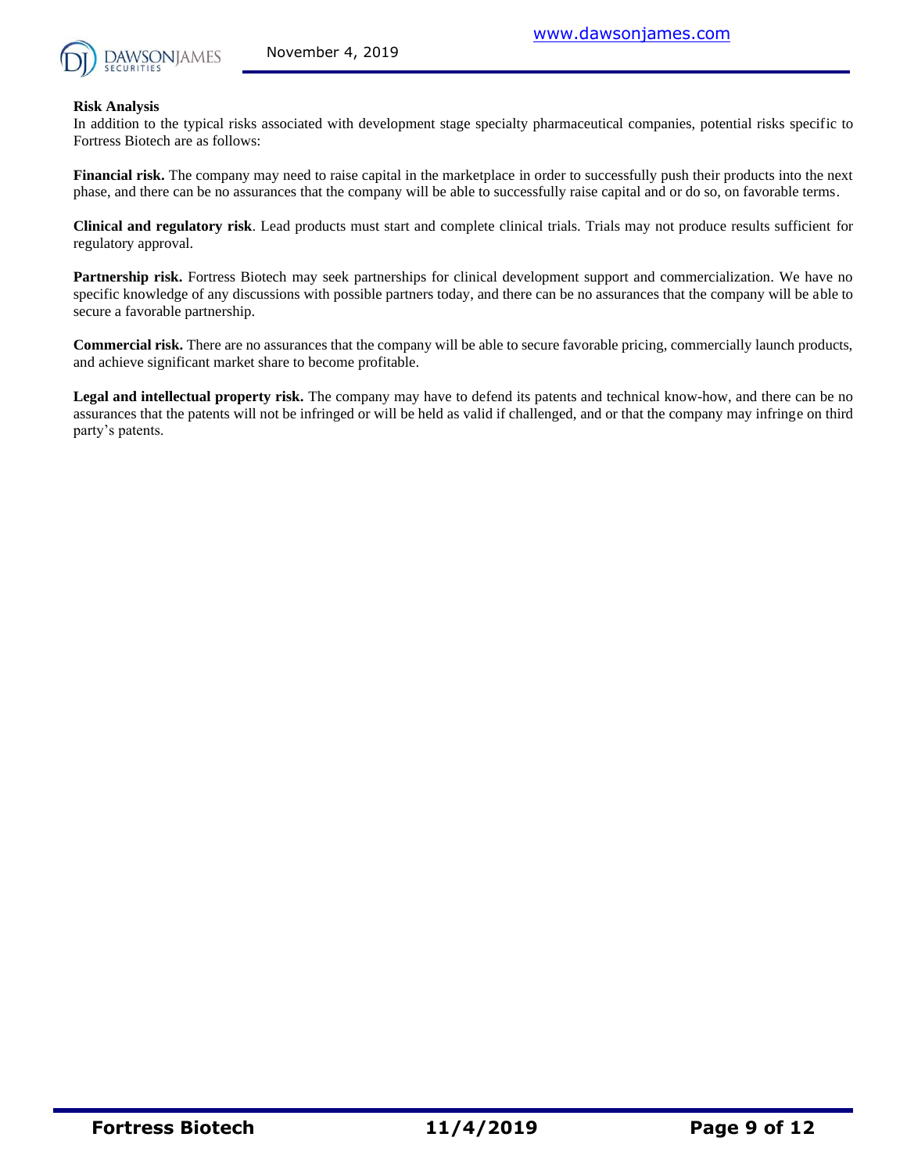

#### **Risk Analysis**

In addition to the typical risks associated with development stage specialty pharmaceutical companies, potential risks specific to Fortress Biotech are as follows:

**Financial risk.** The company may need to raise capital in the marketplace in order to successfully push their products into the next phase, and there can be no assurances that the company will be able to successfully raise capital and or do so, on favorable terms.

**Clinical and regulatory risk**. Lead products must start and complete clinical trials. Trials may not produce results sufficient for regulatory approval.

**Partnership risk.** Fortress Biotech may seek partnerships for clinical development support and commercialization. We have no specific knowledge of any discussions with possible partners today, and there can be no assurances that the company will be able to secure a favorable partnership.

**Commercial risk.** There are no assurances that the company will be able to secure favorable pricing, commercially launch products, and achieve significant market share to become profitable.

**Legal and intellectual property risk.** The company may have to defend its patents and technical know-how, and there can be no assurances that the patents will not be infringed or will be held as valid if challenged, and or that the company may infringe on third party's patents.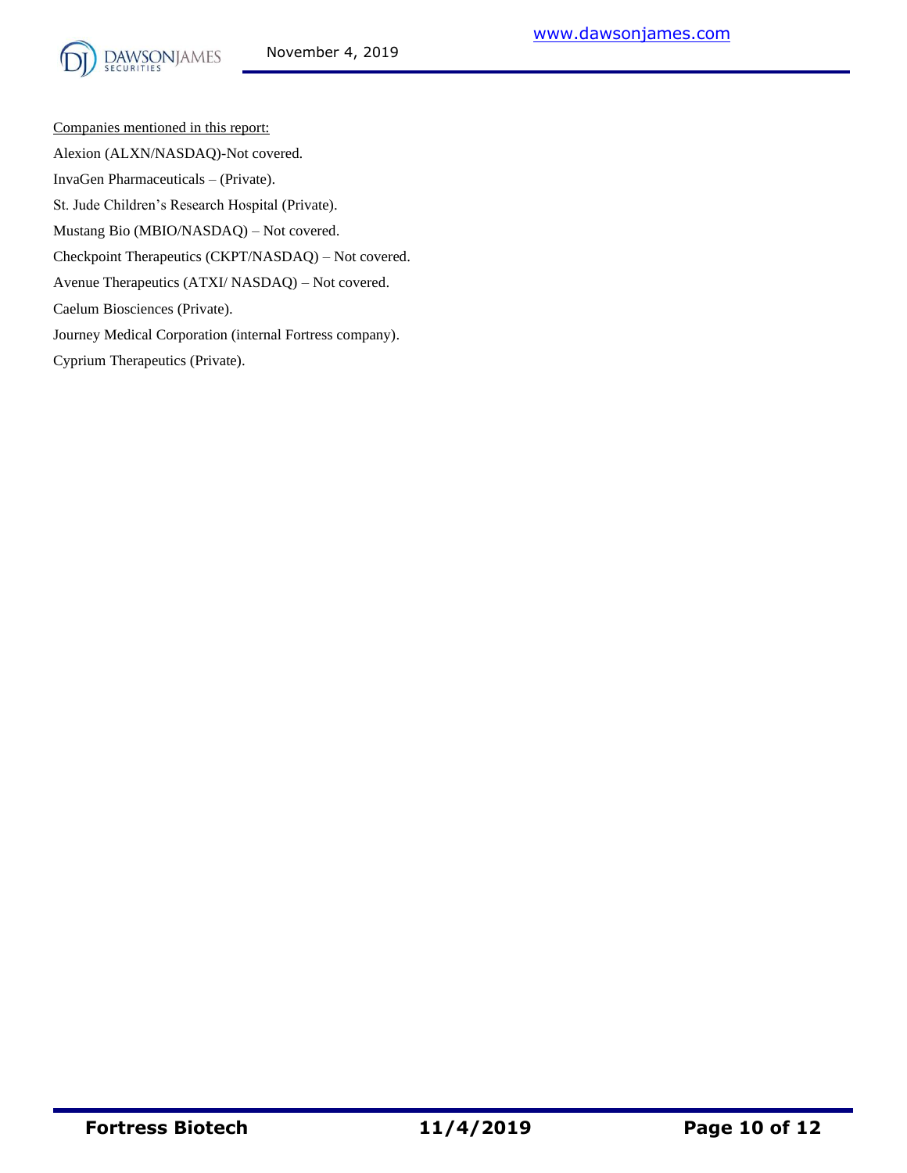Companies mentioned in this report: Alexion (ALXN/NASDAQ)-Not covered. InvaGen Pharmaceuticals – (Private). St. Jude Children's Research Hospital (Private). Mustang Bio (MBIO/NASDAQ) – Not covered. Checkpoint Therapeutics (CKPT/NASDAQ) – Not covered. Avenue Therapeutics (ATXI/ NASDAQ) – Not covered. Caelum Biosciences (Private). Journey Medical Corporation (internal Fortress company). Cyprium Therapeutics (Private).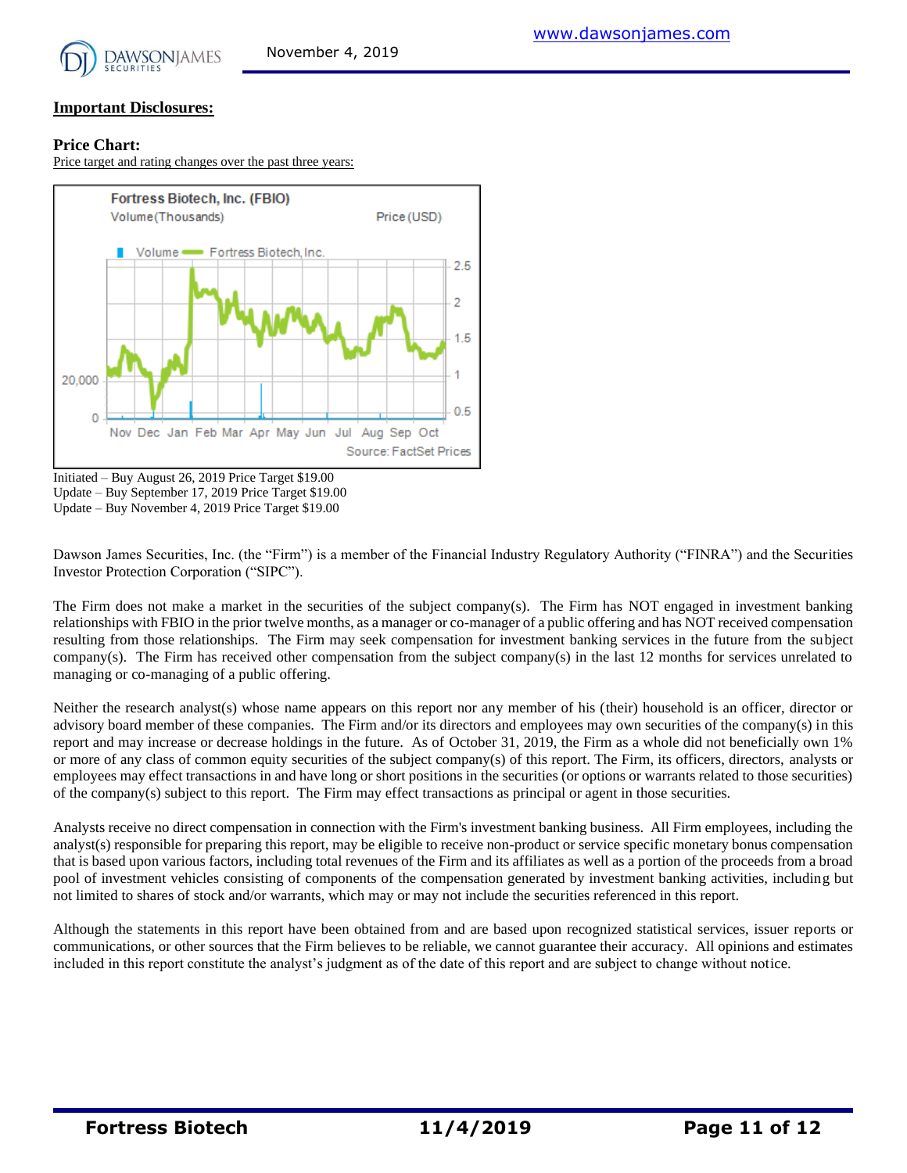

#### **Price Chart:**

Price target and rating changes over the past three years:



Initiated – Buy August 26, 2019 Price Target \$19.00 Update – Buy September 17, 2019 Price Target \$19.00 Update – Buy November 4, 2019 Price Target \$19.00

Dawson James Securities, Inc. (the "Firm") is a member of the Financial Industry Regulatory Authority ("FINRA") and the Securities Investor Protection Corporation ("SIPC").

The Firm does not make a market in the securities of the subject company(s). The Firm has NOT engaged in investment banking relationships with FBIO in the prior twelve months, as a manager or co-manager of a public offering and has NOT received compensation resulting from those relationships. The Firm may seek compensation for investment banking services in the future from the subject company(s). The Firm has received other compensation from the subject company(s) in the last 12 months for services unrelated to managing or co-managing of a public offering.

Neither the research analyst(s) whose name appears on this report nor any member of his (their) household is an officer, director or advisory board member of these companies. The Firm and/or its directors and employees may own securities of the company(s) in this report and may increase or decrease holdings in the future. As of October 31, 2019, the Firm as a whole did not beneficially own 1% or more of any class of common equity securities of the subject company(s) of this report. The Firm, its officers, directors, analysts or employees may effect transactions in and have long or short positions in the securities (or options or warrants related to those securities) of the company(s) subject to this report. The Firm may effect transactions as principal or agent in those securities.

Analysts receive no direct compensation in connection with the Firm's investment banking business. All Firm employees, including the analyst(s) responsible for preparing this report, may be eligible to receive non-product or service specific monetary bonus compensation that is based upon various factors, including total revenues of the Firm and its affiliates as well as a portion of the proceeds from a broad pool of investment vehicles consisting of components of the compensation generated by investment banking activities, including but not limited to shares of stock and/or warrants, which may or may not include the securities referenced in this report.

Although the statements in this report have been obtained from and are based upon recognized statistical services, issuer reports or communications, or other sources that the Firm believes to be reliable, we cannot guarantee their accuracy. All opinions and estimates included in this report constitute the analyst's judgment as of the date of this report and are subject to change without notice.